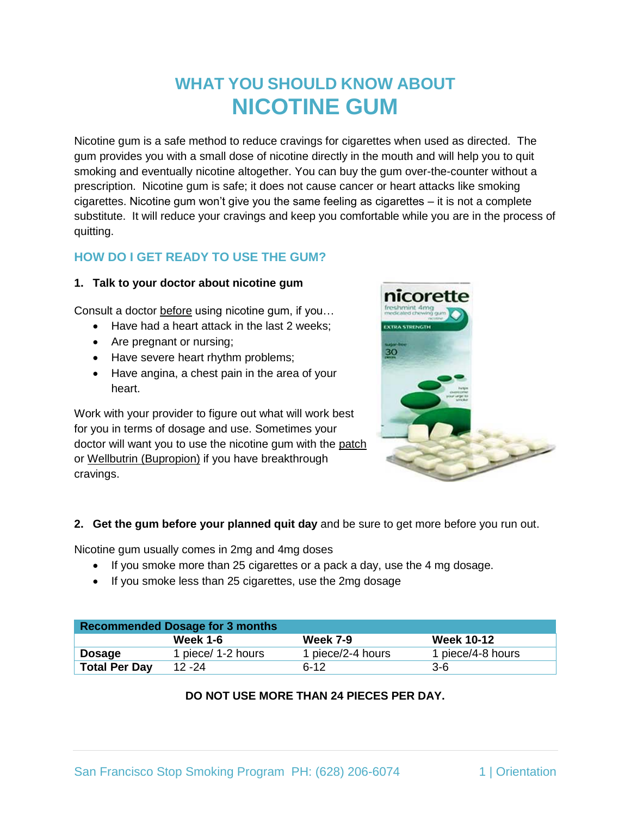# **WHAT YOU SHOULD KNOW ABOUT NICOTINE GUM**

Nicotine gum is a safe method to reduce cravings for cigarettes when used as directed. The gum provides you with a small dose of nicotine directly in the mouth and will help you to quit smoking and eventually nicotine altogether. You can buy the gum over-the-counter without a prescription. Nicotine gum is safe; it does not cause cancer or heart attacks like smoking cigarettes. Nicotine gum won't give you the same feeling as cigarettes – it is not a complete substitute. It will reduce your cravings and keep you comfortable while you are in the process of quitting.

# **HOW DO I GET READY TO USE THE GUM?**

#### **1. Talk to your doctor about nicotine gum**

Consult a doctor before using nicotine gum, if you…

- Have had a heart attack in the last 2 weeks:
- Are pregnant or nursing;
- Have severe heart rhythm problems;
- Have angina, a chest pain in the area of your heart.

Work with your provider to figure out what will work best for you in terms of dosage and use. Sometimes your doctor will want you to use the nicotine gum with the patch or Wellbutrin (Bupropion) if you have breakthrough cravings.



#### **2. Get the gum before your planned quit day** and be sure to get more before you run out.

Nicotine gum usually comes in 2mg and 4mg doses

- If you smoke more than 25 cigarettes or a pack a day, use the 4 mg dosage.
- If you smoke less than 25 cigarettes, use the 2mg dosage

| <b>Recommended Dosage for 3 months</b> |                    |                   |                   |
|----------------------------------------|--------------------|-------------------|-------------------|
|                                        | <b>Week 1-6</b>    | <b>Week 7-9</b>   | <b>Week 10-12</b> |
| Dosage                                 | 1 piece/ 1-2 hours | 1 piece/2-4 hours | 1 piece/4-8 hours |
| <b>Total Per Day</b>                   | 12 - 24            | $6 - 12$          | 3-6               |

## **DO NOT USE MORE THAN 24 PIECES PER DAY.**